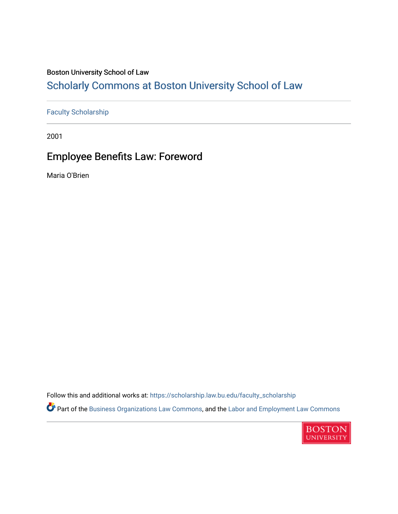## Boston University School of Law

# [Scholarly Commons at Boston University School of Law](https://scholarship.law.bu.edu/)

### [Faculty Scholarship](https://scholarship.law.bu.edu/faculty_scholarship)

2001

# Employee Benefits Law: Foreword

Maria O'Brien

Follow this and additional works at: [https://scholarship.law.bu.edu/faculty\\_scholarship](https://scholarship.law.bu.edu/faculty_scholarship?utm_source=scholarship.law.bu.edu%2Ffaculty_scholarship%2F2124&utm_medium=PDF&utm_campaign=PDFCoverPages)

Part of the [Business Organizations Law Commons](https://network.bepress.com/hgg/discipline/900?utm_source=scholarship.law.bu.edu%2Ffaculty_scholarship%2F2124&utm_medium=PDF&utm_campaign=PDFCoverPages), and the [Labor and Employment Law Commons](https://network.bepress.com/hgg/discipline/909?utm_source=scholarship.law.bu.edu%2Ffaculty_scholarship%2F2124&utm_medium=PDF&utm_campaign=PDFCoverPages)

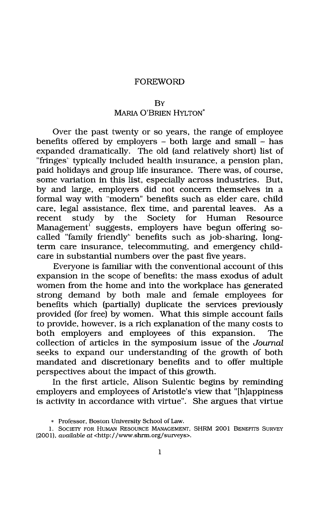### FOREWORD

#### BY

## MARIA O'BRIEN **HYLTON\***

Over the past twenty or so years, the range of employee benefits offered **by** employers **-** both large and small **-** has expanded dramatically. The old (and relatively short) list of "fringes" typically included health insurance, a pension plan, paid holidays and group life insurance. There was, of course, some variation in this list, especially across industries. But, **by** and large, employers did not concern themselves in a formal way with "modern" benefits such as elder care, child care, legal assistance, flex time, and parental leaves. As a recent study **by** the Society for Human Resource Management' suggests, employers have begun offering socalled "family friendly" benefits such as job-sharing, longterm care insurance, telecommuting, and emergency childcare in substantial numbers over the past five years.

Everyone is familiar with the conventional account of this expansion in the scope of benefits: the mass exodus of adult women from the home and into the workplace has generated strong demand **by** both male and female employees for benefits which (partially) duplicate the services previously provided (for free) **by** women. What this simple account fails to provide, however, is a rich explanation of the many costs to both employers and employees of this expansion. The collection of articles in the symposium issue of the *Journal* seeks to expand our understanding of the growth of both mandated and discretionary benefits and to offer multiple perspectives about the impact of this growth.

In the first article, Alison Sulentic begins **by** reminding employers and employees of Aristotle's view that "[h]appiness is activity in accordance with virtue". She argues that virtue

**<sup>\*</sup>** Professor, Boston University School of Law.

**<sup>1.</sup>** SOCIETY FOR HUMAN RESOURCE **MANAGEMENT,** SHRM 2001 BENEFITS SURVEY (200 **1),** available at <http:/ /www.shrm.org/surveys>.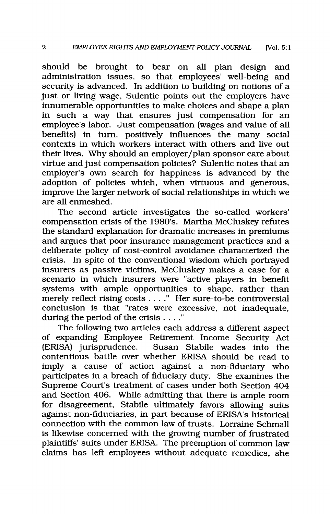should be brought to bear on all plan design and administration issues, so that employees' well-being and security is advanced. In addition to building on notions of a just or living wage, Sulentic points out the employers have innumerable opportunities to make choices and shape a plan in such a way that ensures just compensation for an employee's labor. Just compensation (wages and value of all benefits) in turn, positively influences the many social contexts in which workers interact with others and live out their lives. Why should an employer/plan sponsor care about virtue and just compensation policies? Sulentic notes that an employer's own search for happiness is advanced **by** the adoption of policies which, when virtuous and generous, improve the larger network of social relationships in which we are all enmeshed.

The second article investigates the so-called workers' compensation crisis of the 1980's. Martha McCluskey refutes the standard explanation for dramatic increases in premiums and argues that poor insurance management practices and a deliberate policy of cost-control avoidance characterized the crisis. In spite of the conventional wisdom which portrayed insurers as passive victims, McCluskey makes a case for a scenario in which insurers were "active players in benefit systems with ample opportunities to shape, rather than merely reflect rising costs **. . . ."** Her sure-to-be controversial conclusion is that "rates were excessive, not inadequate, during the period of the crisis **. . . ."**

The following two articles each address a different aspect of expanding Employee Retirement Income Security Act (ERISA) jurisprudence. Susan Stabile wades into the contentious battle over whether ERISA should be read to imply a cause of action against a non-fiduciary who participates in a breach of fiduciary duty. She examines the Supreme Court's treatment of cases under both Section 404 and Section 406. While admitting that there is ample room for disagreement, Stabile ultimately favors allowing suits against non-fiduciaries, in part because of ERISA's historical connection with the common law of trusts. Lorraine Schmall is likewise concerned with the growing number of frustrated plaintiffs' suits under ERISA. The preemption of common law claims has left employees without adequate remedies, she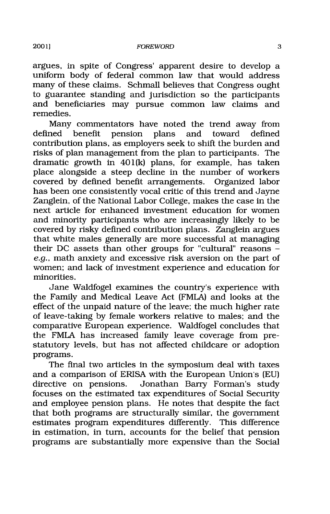argues, in spite of Congress' apparent desire to develop a uniform body of federal common law that would address many of these claims. Schmall believes that Congress ought to guarantee standing and jurisdiction so the participants and beneficiaries may pursue common law claims and remedies.

Many commentators have noted the trend away from defined benefit pension plans and toward defined contribution plans, as employers seek to shift the burden and risks of plan management from the plan to participants. The dramatic growth in 401(k) plans, for example, has taken place alongside a steep decline in the number of workers covered **by** defined benefit arrangements. Organized labor has been one consistently vocal critic of this trend and Jayne Zanglein, of the National Labor College, makes the case in the next article for enhanced investment education for women and minority participants who are increasingly likely to be covered **by** risky defined contribution plans. Zanglein argues that white males generally are more successful at managing their **DC** assets than other groups for "cultural" reasons e.g., math anxiety and excessive risk aversion on the part of women; and lack of investment experience and education for minorities.

Jane Waldfogel examines the country's experience with the Family and Medical Leave Act (FMLA) and looks at the effect of the unpaid nature of the leave; the much higher rate of leave-taking **by** female workers relative to males; and the comparative European experience. Waldfogel concludes that the FMLA has increased family leave coverage from prestatutory levels, but has not affected childcare or adoption programs.

The final two articles in the symposium deal with taxes and a comparison of ERISA with the European Union's **(EU)** directive on pensions. Jonathan Barry Forman's study focuses on the estimated tax expenditures of Social Security and employee pension plans. He notes that despite the fact that both programs are structurally similar, the government estimates program expenditures differently. This difference in estimation, in turn, accounts for the belief that pension programs are substantially more expensive than the Social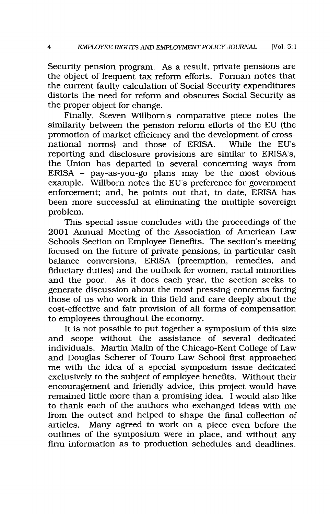Security pension program. As a result, private pensions are the object of frequent tax reform efforts. Forman notes that the current faulty calculation of Social Security expenditures distorts the need for reform and obscures Social Security as the proper object for change.

Finally, Steven Willborn's comparative piece notes the similarity between the pension reform efforts of the **EU** (the promotion of market efficiency and the development of crossnational norms) and those of ERISA. While the EU's reporting and disclosure provisions are similar to ERISA's, the Union has departed in several concerning ways from ERISA **-** pay-as-you-go plans may be the most obvious example. Willborn notes the EU's preference for government enforcement; and, he points out that, to date, ERISA has been more successful at eliminating the multiple sovereign problem.

This special issue concludes with the proceedings of the 2001 Annual Meeting of the Association of American Law Schools Section on Employee Benefits. The section's meeting focused on the future of private pensions, in particular cash balance conversions, ERISA (preemption, remedies, and fiduciary duties) and the outlook for women, racial minorities and the poor. As it does each year, the section seeks to generate discussion about the most pressing concerns facing those of us who work in this field and care deeply about the cost-effective and fair provision of all forms of compensation to employees throughout the economy.

It is not possible to put together a symposium of this size and scope without the assistance of several dedicated individuals. Martin Malin of the Chicago-Kent College of Law and Douglas Scherer of Touro Law School first approached me with the idea of a special symposium issue dedicated exclusively to the subject of employee benefits. Without their encouragement and friendly advice, this project would have remained little more than a promising idea. I would also like to thank each of the authors who exchanged ideas with me from the outset and helped to shape the final collection of articles. Many agreed to work on a piece even before the outlines of the symposium were in place, and without any firm information as to production schedules and deadlines.